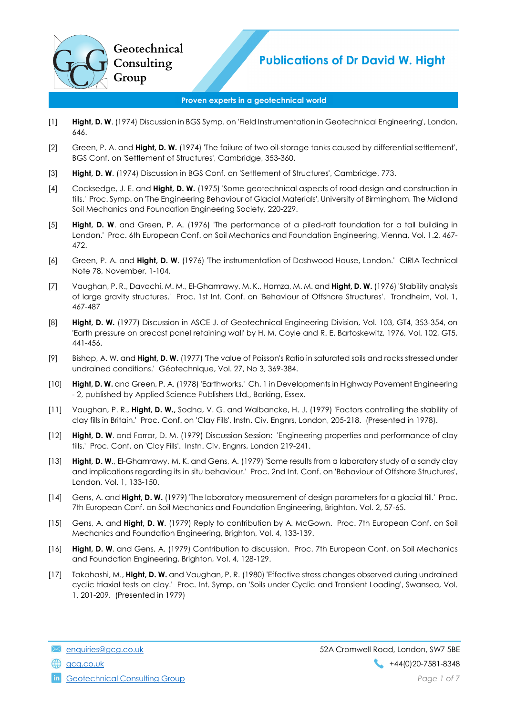## Proven experts in a geotechnical world

- [1] Hight, D. W. (1974) Discussion in BGS Symp. on 'Field Instrumentation in Geotechnical Engineering', London, 646.
- [2] Green, P. A. and **Hight, D. W.** (1974) 'The failure of two oil-storage tanks caused by differential settlement', BGS Conf. on 'Settlement of Structures', Cambridge, 353-360.
- [3] Hight, D. W. (1974) Discussion in BGS Conf. on 'Settlement of Structures', Cambridge, 773.
- [4] Cocksedge, J. E. and **Hight, D. W.** (1975) 'Some geotechnical aspects of road design and construction in tills.' Proc. Symp. on 'The Engineering Behaviour of Glacial Materials', University of Birmingham, The Midland Soil Mechanics and Foundation Engineering Society, 220-229.
- [5] Hight, D. W. and Green, P. A. (1976) 'The performance of a piled-raft foundation for a tall building in London.' Proc. 6th European Conf. on Soil Mechanics and Foundation Engineering, Vienna, Vol. 1.2, 467- 472.
- [6] Green, P. A. and Hight, D. W. (1976) 'The instrumentation of Dashwood House, London.' CIRIA Technical Note 78, November, 1-104.
- [7] Vaughan, P. R., Davachi, M. M., El-Ghamrawy, M. K., Hamza, M. M. and Hight, D. W. (1976) 'Stability analysis of large gravity structures.' Proc. 1st Int. Conf. on 'Behaviour of Offshore Structures'. Trondheim, Vol. 1, 467-487
- [8] Hight, D. W. (1977) Discussion in ASCE J. of Geotechnical Engineering Division, Vol. 103, GT4, 353-354, on 'Earth pressure on precast panel retaining wall' by H. M. Coyle and R. E. Bartoskewitz, 1976, Vol. 102, GT5, 441-456.
- [9] Bishop, A. W. and Hight, D. W. (1977) 'The value of Poisson's Ratio in saturated soils and rocks stressed under undrained conditions.' Géotechnique, Vol. 27, No 3, 369-384.
- [10] Hight, D. W. and Green, P. A. (1978) 'Earthworks.' Ch. 1 in Developments in Highway Pavement Engineering - 2, published by Applied Science Publishers Ltd., Barking, Essex.
- [11] Vaughan, P. R., Hight, D. W., Sodha, V. G. and Walbancke, H. J. (1979) 'Factors controlling the stability of clay fills in Britain.' Proc. Conf. on 'Clay Fills', Instn. Civ. Engnrs, London, 205-218. (Presented in 1978).
- [12] Hight, D. W. and Farrar, D. M. (1979) Discussion Session: 'Engineering properties and performance of clay fills.' Proc. Conf. on 'Clay Fills'. Instn. Civ. Engnrs, London 219-241.
- [13] Hight, D. W., El-Ghamrawy, M. K. and Gens, A. (1979) 'Some results from a laboratory study of a sandy clay and implications regarding its in situ behaviour.' Proc. 2nd Int. Conf. on 'Behaviour of Offshore Structures', London, Vol. 1, 133-150.
- [14] Gens, A. and **Hight, D. W.** (1979) 'The laboratory measurement of design parameters for a glacial till.' Proc. 7th European Conf. on Soil Mechanics and Foundation Engineering, Brighton, Vol. 2, 57-65.
- [15] Gens, A. and Hight, D. W. (1979) Reply to contribution by A. McGown. Proc. 7th European Conf. on Soil Mechanics and Foundation Engineering, Brighton, Vol. 4, 133-139.
- [16] Hight, D. W. and Gens, A. (1979) Contribution to discussion. Proc. 7th European Conf. on Soil Mechanics and Foundation Engineering, Brighton, Vol. 4, 128-129.
- [17] Takahashi, M., Hight, D. W. and Vaughan, P. R. (1980) 'Effective stress changes observed during undrained cyclic triaxial tests on clay.' Proc. Int. Symp. on 'Soils under Cyclic and Transient Loading', Swansea, Vol. 1, 201-209. (Presented in 1979)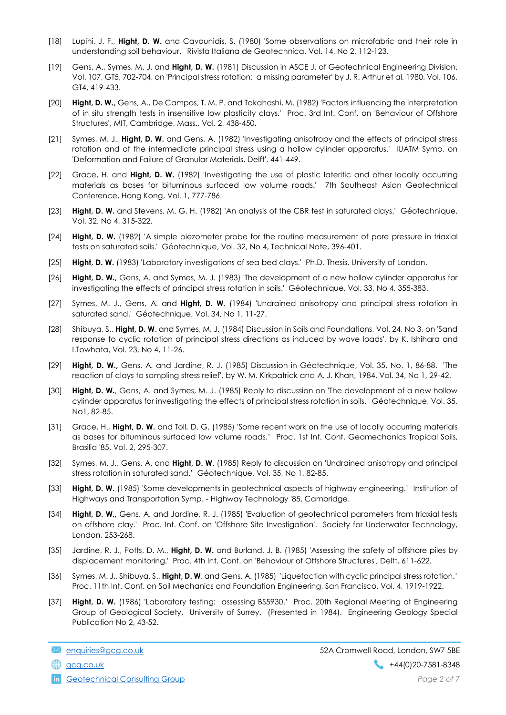- [18] Lupini, J. F., Hight, D. W. and Cavounidis, S. (1980) 'Some observations on microfabric and their role in understanding soil behaviour.' Rivista Italiana de Geotechnica, Vol. 14, No 2, 112-123.
- [19] Gens, A., Symes, M. J. and Hight, D. W. (1981) Discussion in ASCE J. of Geotechnical Engineering Division, Vol. 107, GT5, 702-704, on 'Principal stress rotation: a missing parameter' by J. R. Arthur et al, 1980, Vol. 106, GT4, 419-433.
- [20] Hight, D. W., Gens, A., De Campos, T. M. P. and Takahashi, M. (1982) 'Factors influencing the interpretation of in situ strength tests in insensitive low plasticity clays.' Proc. 3rd Int. Conf. on 'Behaviour of Offshore Structures', MIT, Cambridge, Mass., Vol. 2, 438-450.
- [21] Symes, M. J., Hight, D. W. and Gens, A. (1982) 'Investigating anisotropy and the effects of principal stress rotation and of the intermediate principal stress using a hollow cylinder apparatus.' IUATM Symp. on 'Deformation and Failure of Granular Materials, Delft', 441-449.
- [22] Grace, H. and Hight, D. W. (1982) 'Investigating the use of plastic lateritic and other locally occurring materials as bases for bituminous surfaced low volume roads.' 7th Southeast Asian Geotechnical Conference, Hong Kong, Vol. 1, 777-786.
- [23] Hight, D. W. and Stevens, M. G. H. (1982) 'An analysis of the CBR test in saturated clays.' Géotechnique, Vol. 32, No 4, 315-322.
- [24] Hight, D. W. (1982) 'A simple piezometer probe for the routine measurement of pore pressure in triaxial tests on saturated soils.' Géotechnique, Vol. 32, No 4, Technical Note, 396-401.
- [25] Hight, D. W. (1983) 'Laboratory investigations of sea bed clays.' Ph.D. Thesis, University of London.
- [26] Hight, D. W., Gens, A. and Symes, M. J. (1983) 'The development of a new hollow cylinder apparatus for investigating the effects of principal stress rotation in soils.' Géotechnique, Vol. 33, No 4, 355-383.
- [27] Symes, M. J., Gens, A. and Hight, D. W. (1984) 'Undrained anisotropy and principal stress rotation in saturated sand.' Géotechnique, Vol. 34, No 1, 11-27.
- [28] Shibuya, S., Hight, D. W. and Symes, M. J. (1984) Discussion in Soils and Foundations, Vol. 24, No 3, on 'Sand response to cyclic rotation of principal stress directions as induced by wave loads', by K. Ishihara and I.Towhata, Vol. 23, No 4, 11-26.
- [29] Hight, D. W., Gens, A. and Jardine, R. J. (1985) Discussion in Géotechnique, Vol. 35, No. 1, 86-88. 'The reaction of clays to sampling stress relief', by W. M. Kirkpatrick and A. J. Khan, 1984, Vol. 34, No 1, 29-42.
- [30] Hight, D. W., Gens, A. and Symes, M. J. (1985) Reply to discussion on 'The development of a new hollow cylinder apparatus for investigating the effects of principal stress rotation in soils.' Géotechnique, Vol. 35, No1, 82-85.
- [31] Grace, H., Hight, D. W. and Toll, D. G. (1985) 'Some recent work on the use of locally occurring materials as bases for bituminous surfaced low volume roads.' Proc. 1st Int. Conf. Geomechanics Tropical Soils, Brasilia '85, Vol. 2, 295-307.
- [32] Symes, M. J., Gens, A. and Hight, D. W. (1985) Reply to discussion on 'Undrained anisotropy and principal stress rotation in saturated sand.' Géotechnique, Vol. 35, No 1, 82-85.
- [33] Hight, D. W. (1985) 'Some developments in geotechnical aspects of highway engineering.' Institution of Highways and Transportation Symp. - Highway Technology '85, Cambridge.
- [34] Hight, D. W., Gens, A. and Jardine, R. J. (1985) 'Evaluation of geotechnical parameters from triaxial tests on offshore clay.' Proc. Int. Conf. on 'Offshore Site Investigation'. Society for Underwater Technology, London, 253-268.
- [35] Jardine, R. J., Potts, D. M., Hight, D. W. and Burland, J. B. (1985) 'Assessing the safety of offshore piles by displacement monitoring.' Proc. 4th Int. Conf. on 'Behaviour of Offshore Structures', Delft, 611-622.
- [36] Symes, M. J., Shibuya, S., Hight, D. W. and Gens, A. (1985) 'Liquefaction with cyclic principal stress rotation.' Proc. 11th Int. Conf. on Soil Mechanics and Foundation Engineering, San Francisco, Vol. 4, 1919-1922.
- [37] Hight, D. W. (1986) 'Laboratory testing: assessing BS5930.' Proc. 20th Regional Meeting of Engineering Group of Geological Society. University of Surrey. (Presented in 1984). Engineering Geology Special Publication No 2, 43-52.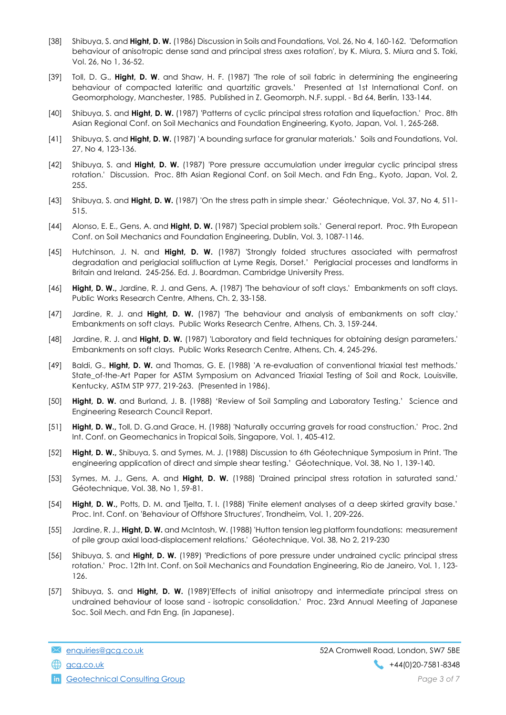- [38] Shibuya, S. and Hight, D. W. (1986) Discussion in Soils and Foundations, Vol. 26, No 4, 160-162. 'Deformation behaviour of anisotropic dense sand and principal stress axes rotation', by K. Miura, S. Miura and S. Toki, Vol. 26, No 1, 36-52.
- [39] Toll, D. G., Hight, D. W. and Shaw, H. F. (1987) 'The role of soil fabric in determining the engineering behaviour of compacted lateritic and quartzitic gravels.' Presented at 1st International Conf. on Geomorphology, Manchester, 1985. Published in Z. Geomorph. N.F. suppl. - Bd 64, Berlin, 133-144.
- [40] Shibuya, S. and Hight, D. W. (1987) 'Patterns of cyclic principal stress rotation and liquefaction.' Proc. 8th Asian Regional Conf. on Soil Mechanics and Foundation Engineering, Kyoto, Japan, Vol. 1, 265-268.
- [41] Shibuya, S. and Hight, D. W. (1987) 'A bounding surface for granular materials.' Soils and Foundations, Vol. 27, No 4, 123-136.
- [42] Shibuya, S. and Hight, D. W. (1987) 'Pore pressure accumulation under irregular cyclic principal stress rotation.' Discussion. Proc. 8th Asian Regional Conf. on Soil Mech. and Fdn Eng., Kyoto, Japan, Vol. 2, 255.
- [43] Shibuya, S. and **Hight, D. W.** (1987) 'On the stress path in simple shear.' Géotechnique, Vol. 37, No 4, 511-515.
- [44] Alonso, E. E., Gens, A. and Hight, D. W. (1987) 'Special problem soils.' General report. Proc. 9th European Conf. on Soil Mechanics and Foundation Engineering, Dublin, Vol. 3, 1087-1146.
- [45] Hutchinson, J. N. and Hight, D. W. (1987) 'Strongly folded structures associated with permafrost degradation and periglacial solifluction at Lyme Regis, Dorset.' Periglacial processes and landforms in Britain and Ireland. 245-256. Ed. J. Boardman. Cambridge University Press.
- [46] Hight, D. W., Jardine, R. J. and Gens, A. (1987) 'The behaviour of soft clays.' Embankments on soft clays. Public Works Research Centre, Athens, Ch. 2, 33-158.
- [47] Jardine, R. J. and Hight, D. W. (1987) 'The behaviour and analysis of embankments on soft clay.' Embankments on soft clays. Public Works Research Centre, Athens, Ch. 3, 159-244.
- [48] Jardine, R. J. and Hight, D. W. (1987) 'Laboratory and field techniques for obtaining design parameters.' Embankments on soft clays. Public Works Research Centre, Athens, Ch. 4, 245-296.
- [49] Baldi, G., Hight, D. W. and Thomas, G. E. (1988) 'A re-evaluation of conventional triaxial test methods.' State\_of-the-Art Paper for ASTM Symposium on Advanced Triaxial Testing of Soil and Rock, Louisville, Kentucky, ASTM STP 977, 219-263. (Presented in 1986).
- [50] Hight, D. W. and Burland, J. B. (1988) 'Review of Soil Sampling and Laboratory Testing.' Science and Engineering Research Council Report.
- [51] Hight, D. W., Toll, D. G.and Grace, H. (1988) 'Naturally occurring gravels for road construction.' Proc. 2nd Int. Conf. on Geomechanics in Tropical Soils, Singapore, Vol. 1, 405-412.
- [52] **Hight, D. W.,** Shibuya, S. and Symes, M. J. (1988) Discussion to 6th Géotechnique Symposium in Print. 'The engineering application of direct and simple shear testing.' Géotechnique, Vol. 38, No 1, 139-140.
- [53] Symes, M. J., Gens, A. and Hight, D. W. (1988) 'Drained principal stress rotation in saturated sand.' Géotechnique, Vol. 38, No 1, 59-81.
- [54] Hight, D. W., Potts, D. M. and Tjelta, T. I. (1988) 'Finite element analyses of a deep skirted gravity base.' Proc. Int. Conf. on 'Behaviour of Offshore Structures', Trondheim, Vol. 1, 209-226.
- [55] Jardine, R. J., Hight, D. W. and McIntosh, W. (1988) 'Hutton tension leg platform foundations: measurement of pile group axial load-displacement relations.' Géotechnique, Vol. 38, No 2, 219-230
- [56] Shibuya, S. and Hight, D. W. (1989) 'Predictions of pore pressure under undrained cyclic principal stress rotation.' Proc. 12th Int. Conf. on Soil Mechanics and Foundation Engineering, Rio de Janeiro, Vol. 1, 123- 126.
- [57] Shibuya, S. and **Hight, D. W.** (1989)'Effects of initial anisotropy and intermediate principal stress on undrained behaviour of loose sand - isotropic consolidation.' Proc. 23rd Annual Meeting of Japanese Soc. Soil Mech. and Fdn Eng. (in Japanese).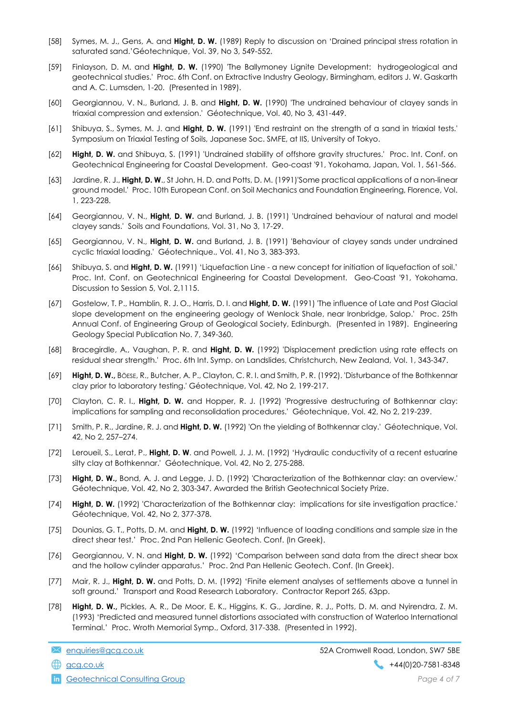- [58] Symes, M. J., Gens, A. and Hight, D. W. (1989) Reply to discussion on 'Drained principal stress rotation in saturated sand.'Géotechnique, Vol. 39, No 3, 549-552.
- [59] Finlayson, D. M. and Hight, D. W. (1990) 'The Ballymoney Lignite Development: hydrogeological and geotechnical studies.' Proc. 6th Conf. on Extractive Industry Geology, Birmingham, editors J. W. Gaskarth and A. C. Lumsden, 1-20. (Presented in 1989).
- [60] Georgiannou, V. N., Burland, J. B. and Hight, D. W. (1990) 'The undrained behaviour of clayey sands in triaxial compression and extension.' Géotechnique, Vol. 40, No 3, 431-449.
- [61] Shibuya, S., Symes, M. J. and **Hight, D. W.** (1991) 'End restraint on the strength of a sand in triaxial tests.' Symposium on Triaxial Testing of Soils, Japanese Soc. SMFE, at IIS, University of Tokyo.
- [62] Hight, D. W. and Shibuya, S. (1991) 'Undrained stability of offshore gravity structures.' Proc. Int. Conf. on Geotechnical Engineering for Coastal Development. Geo-coast '91, Yokohama, Japan, Vol. 1, 561-566.
- [63] Jardine, R. J., Hight, D. W., St John, H. D. and Potts, D. M. (1991)'Some practical applications of a non-linear ground model.' Proc. 10th European Conf. on Soil Mechanics and Foundation Engineering, Florence, Vol. 1, 223-228.
- [64] Georgiannou, V. N., Hight, D. W. and Burland, J. B. (1991) 'Undrained behaviour of natural and model clayey sands.' Soils and Foundations, Vol. 31, No 3, 17-29.
- [65] Georgiannou, V. N., Hight, D. W. and Burland, J. B. (1991) 'Behaviour of clayey sands under undrained cyclic triaxial loading.' Géotechnique., Vol. 41, No 3, 383-393.
- [66] Shibuya, S. and **Hight, D. W.** (1991) 'Liquefaction Line a new concept for initiation of liquefaction of soil.' Proc. Int. Conf. on Geotechnical Engineering for Coastal Development. Geo-Coast '91, Yokohama. Discussion to Session 5, Vol. 2,1115.
- [67] Gostelow, T. P., Hamblin, R. J. O., Harris, D. I. and Hight, D. W. (1991) 'The influence of Late and Post Glacial slope development on the engineering geology of Wenlock Shale, near Ironbridge, Salop.' Proc. 25th Annual Conf. of Engineering Group of Geological Society, Edinburgh. (Presented in 1989). Engineering Geology Special Publication No. 7, 349-360.
- [68] Bracegirdle, A., Vaughan, P. R. and Hight, D. W. (1992) 'Displacement prediction using rate effects on residual shear strength.' Proc. 6th Int. Symp. on Landslides, Christchurch, New Zealand, Vol. 1, 343-347.
- [69] Hight, D. W., BÖESE, R., Butcher, A. P., Clayton, C. R. I. and Smith, P. R. (1992). 'Disturbance of the Bothkennar clay prior to laboratory testing.' Géotechnique, Vol. 42, No 2, 199-217.
- [70] Clayton, C. R. I., Hight, D. W. and Hopper, R. J. (1992) 'Progressive destructuring of Bothkennar clay: implications for sampling and reconsolidation procedures.' Géotechnique, Vol. 42, No 2, 219-239.
- [71] Smith, P. R., Jardine, R. J. and Hight, D. W. (1992) 'On the yielding of Bothkennar clay.' Géotechnique, Vol. 42, No 2, 257–274.
- [72] Leroueil, S., Lerat, P., Hight, D. W. and Powell, J. J. M. (1992) 'Hydraulic conductivity of a recent estuarine silty clay at Bothkennar.' Géotechnique, Vol. 42, No 2, 275-288.
- [73] Hight, D. W., Bond, A. J. and Legge, J. D. (1992) 'Characterization of the Bothkennar clay: an overview.' Géotechnique, Vol. 42, No 2, 303-347. Awarded the British Geotechnical Society Prize.
- [74] Hight, D. W. (1992) 'Characterization of the Bothkennar clay: implications for site investigation practice.' Géotechnique, Vol. 42, No 2, 377-378.
- [75] Dounias, G. T., Potts, D. M. and Hight, D. W. (1992) 'Influence of loading conditions and sample size in the direct shear test.' Proc. 2nd Pan Hellenic Geotech. Conf. (In Greek).
- [76] Georgiannou, V. N. and Hight, D. W. (1992) 'Comparison between sand data from the direct shear box and the hollow cylinder apparatus.' Proc. 2nd Pan Hellenic Geotech. Conf. (In Greek).
- [77] Mair, R. J., Hight, D. W. and Potts, D. M. (1992) 'Finite element analyses of settlements above a tunnel in soft ground.' Transport and Road Research Laboratory. Contractor Report 265, 63pp.
- [78] Hight, D. W., Pickles, A. R., De Moor, E. K., Higgins, K. G., Jardine, R. J., Potts, D. M. and Nyirendra, Z. M. (1993) 'Predicted and measured tunnel distortions associated with construction of Waterloo International Terminal.' Proc. Wroth Memorial Symp., Oxford, 317-338. (Presented in 1992).

**in** Geotechnical Consulting Group **Page 4 of 7** and 2008 **Page 4 of 7**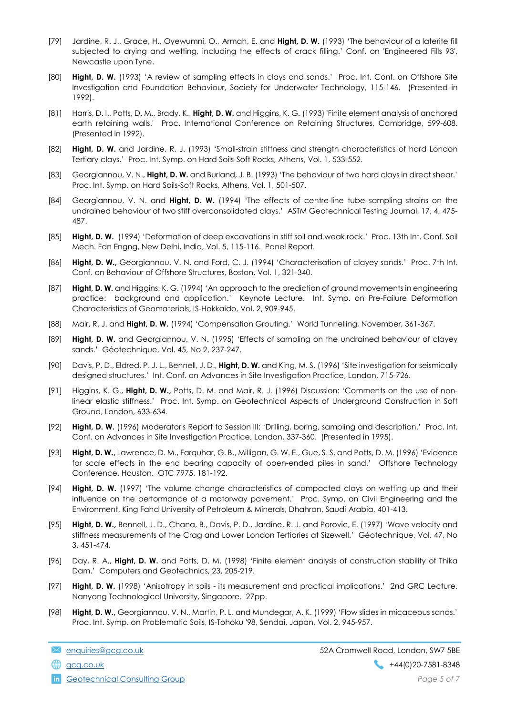- [79] Jardine, R. J., Grace, H., Oyewumni, O., Armah, E. and Hight, D. W. (1993) 'The behaviour of a laterite fill subjected to drying and wetting, including the effects of crack filling.' Conf. on 'Engineered Fills 93', Newcastle upon Tyne.
- [80] Hight, D. W. (1993) 'A review of sampling effects in clays and sands.' Proc. Int. Conf. on Offshore Site Investigation and Foundation Behaviour, Society for Underwater Technology, 115-146. (Presented in 1992).
- [81] Harris, D. I., Potts, D. M., Brady, K., Hight, D. W. and Higgins, K. G. (1993) 'Finite element analysis of anchored earth retaining walls.' Proc. International Conference on Retaining Structures, Cambridge, 599-608. (Presented in 1992).
- [82] Hight, D. W. and Jardine, R. J. (1993) 'Small-strain stiffness and strength characteristics of hard London Tertiary clays.' Proc. Int. Symp. on Hard Soils-Soft Rocks, Athens, Vol. 1, 533-552.
- [83] Georgiannou, V. N., Hight, D. W. and Burland, J. B. (1993) 'The behaviour of two hard clays in direct shear.' Proc. Int. Symp. on Hard Soils-Soft Rocks, Athens, Vol. 1, 501-507.
- [84] Georgiannou, V. N. and Hight, D. W. (1994) 'The effects of centre-line tube sampling strains on the undrained behaviour of two stiff overconsolidated clays.' ASTM Geotechnical Testing Journal, 17, 4, 475- 487.
- [85] Hight, D. W. (1994) 'Deformation of deep excavations in stiff soil and weak rock.' Proc. 13th Int. Conf. Soil Mech. Fdn Engng, New Delhi, India, Vol. 5, 115-116. Panel Report.
- [86] Hight, D. W., Georgiannou, V. N. and Ford, C. J. (1994) 'Characterisation of clayey sands.' Proc. 7th Int. Conf. on Behaviour of Offshore Structures, Boston, Vol. 1, 321-340.
- [87] **Hight, D. W.** and Higgins, K. G. (1994) 'An approach to the prediction of ground movements in engineering practice: background and application.' Keynote Lecture. Int. Symp. on Pre-Failure Deformation Characteristics of Geomaterials, IS-Hokkaido, Vol. 2, 909-945.
- [88] Mair, R. J. and Hight, D. W. (1994) 'Compensation Grouting.' World Tunnelling, November, 361-367.
- [89] **Hight, D. W.** and Georgiannou, V. N. (1995) 'Effects of sampling on the undrained behaviour of clayey sands.' Géotechnique, Vol. 45, No 2, 237-247.
- [90] Davis, P. D., Eldred, P. J. L., Bennell, J. D., Hight, D. W. and King, M. S. (1996) 'Site investigation for seismically designed structures.' Int. Conf. on Advances in Site Investigation Practice, London, 715-726.
- [91] Higgins, K. G., Hight, D. W., Potts, D. M. and Mair, R. J. (1996) Discussion: 'Comments on the use of nonlinear elastic stiffness.' Proc. Int. Symp. on Geotechnical Aspects of Underground Construction in Soft Ground, London, 633-634.
- [92] Hight, D. W. (1996) Moderator's Report to Session III: 'Drilling, boring, sampling and description.' Proc. Int. Conf. on Advances in Site Investigation Practice, London, 337-360. (Presented in 1995).
- [93] Hight, D. W., Lawrence, D. M., Farauhar, G. B., Milliaan, G. W. E., Gue, S. S. and Potts, D. M. (1996) 'Evidence for scale effects in the end bearing capacity of open-ended piles in sand.' Offshore Technology Conference, Houston. OTC 7975, 181-192.
- [94] **Hight, D. W.** (1997) 'The volume change characteristics of compacted clays on wetting up and their influence on the performance of a motorway pavement.' Proc. Symp. on Civil Engineering and the Environment, King Fahd University of Petroleum & Minerals, Dhahran, Saudi Arabia, 401-413.
- [95] Hight, D. W., Bennell, J. D., Chana, B., Davis, P. D., Jardine, R. J. and Porovic, E. (1997) 'Wave velocity and stiffness measurements of the Crag and Lower London Tertiaries at Sizewell.' Géotechnique, Vol. 47, No 3, 451-474.
- [96] Day, R. A., Hight, D. W. and Potts, D. M. (1998) 'Finite element analysis of construction stability of Thika Dam.' Computers and Geotechnics, 23, 205-219.
- [97] Hight, D. W. (1998) 'Anisotropy in soils its measurement and practical implications.' 2nd GRC Lecture, Nanyang Technological University, Singapore. 27pp.
- [98] Hight, D. W., Georgiannou, V. N., Martin, P. L. and Mundegar, A. K. (1999) 'Flow slides in micaceous sands.' Proc. Int. Symp. on Problematic Soils, IS-Tohoku '98, Sendai, Japan, Vol. 2, 945-957.

**in** Geotechnical Consulting Group **Page 5 of 7** and 2008 **Page 5 of 7**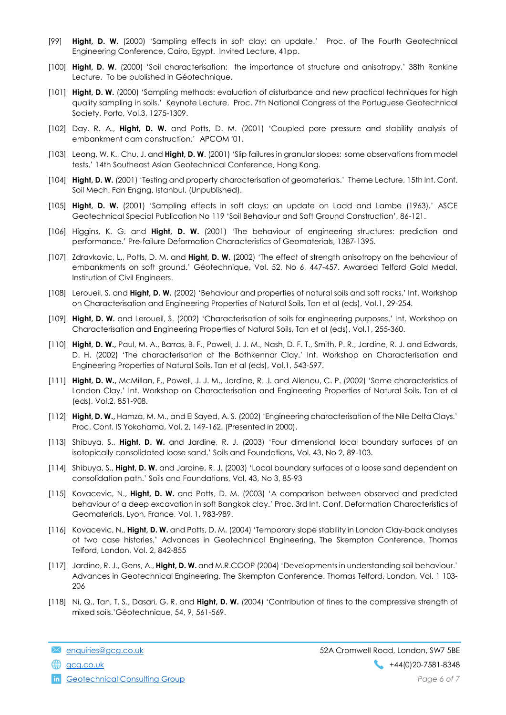- [99] Hight, D. W. (2000) 'Sampling effects in soft clay: an update.' Proc. of The Fourth Geotechnical Engineering Conference, Cairo, Egypt. Invited Lecture, 41pp.
- [100] **Hight, D. W.** (2000) 'Soil characterisation: the importance of structure and anisotropy.' 38th Rankine Lecture. To be published in Géotechnique.
- [101] Hight, D. W. (2000) 'Sampling methods: evaluation of disturbance and new practical techniques for high quality sampling in soils.' Keynote Lecture. Proc. 7th National Congress of the Portuguese Geotechnical Society, Porto, Vol.3, 1275-1309.
- [102] Day, R. A., Hight, D. W. and Potts, D. M. (2001) 'Coupled pore pressure and stability analysis of embankment dam construction.' APCOM '01.
- [103] Leong, W. K., Chu, J. and Hight, D. W. (2001) 'Slip failures in granular slopes: some observations from model tests.' 14th Southeast Asian Geotechnical Conference, Hong Kong.
- [104] Hight, D. W. (2001) 'Testing and property characterisation of geomaterials.' Theme Lecture, 15th Int. Conf. Soil Mech. Fdn Engng, Istanbul. (Unpublished).
- [105] Hight, D. W. (2001) 'Sampling effects in soft clays: an update on Ladd and Lambe (1963).' ASCE Geotechnical Special Publication No 119 'Soil Behaviour and Soft Ground Construction', 86-121.
- [106] Higgins, K. G. and Hight, D. W. (2001) 'The behaviour of engineering structures: prediction and performance.' Pre-failure Deformation Characteristics of Geomaterials, 1387-1395.
- [107] Idravkovic, L., Potts, D. M. and Hight, D. W. (2002) 'The effect of strength anisotropy on the behaviour of embankments on soft ground.' Géotechnique, Vol. 52, No 6, 447-457. Awarded Telford Gold Medal, Institution of Civil Engineers.
- [108] Leroueil, S. and Hight, D. W. (2002) 'Behaviour and properties of natural soils and soft rocks.' Int. Workshop on Characterisation and Engineering Properties of Natural Soils, Tan et al (eds), Vol.1, 29-254.
- [109] Hight, D. W. and Leroueil, S. (2002) 'Characterisation of soils for engineering purposes.' Int. Workshop on Characterisation and Engineering Properties of Natural Soils, Tan et al (eds), Vol.1, 255-360.
- [110] Hight, D. W., Paul, M. A., Barras, B. F., Powell, J. J. M., Nash, D. F. T., Smith, P. R., Jardine, R. J. and Edwards, D. H. (2002) 'The characterisation of the Bothkennar Clay.' Int. Workshop on Characterisation and Engineering Properties of Natural Soils, Tan et al (eds), Vol.1, 543-597.
- [111] Hight, D. W., McMillan, F., Powell, J. J. M., Jardine, R. J. and Allenou, C. P. (2002) 'Some characteristics of London Clay.' Int. Workshop on Characterisation and Engineering Properties of Natural Soils, Tan et al (eds), Vol.2, 851-908.
- [112] Hight, D. W., Hamza, M. M., and El Sayed, A. S. (2002) 'Engineering characterisation of the Nile Delta Clays.' Proc. Conf. IS Yokohama, Vol. 2, 149-162. (Presented in 2000).
- [113] Shibuya, S., Hight, D. W. and Jardine, R. J. (2003) 'Four dimensional local boundary surfaces of an isotopically consolidated loose sand.' Soils and Foundations, Vol. 43, No 2, 89-103.
- [114] Shibuya, S., Hight, D. W. and Jardine, R. J. (2003) 'Local boundary surfaces of a loose sand dependent on consolidation path.' Soils and Foundations, Vol. 43, No 3, 85-93
- [115] Kovacevic, N., Hight, D. W. and Potts, D. M. (2003) 'A comparison between observed and predicted behaviour of a deep excavation in soft Bangkok clay.' Proc. 3rd Int. Conf. Deformation Characteristics of Geomaterials, Lyon, France, Vol. 1, 983-989.
- [116] Kovacevic, N., Hight, D. W. and Potts, D. M. (2004) 'Temporary slope stability in London Clay-back analyses of two case histories.' Advances in Geotechnical Engineering. The Skempton Conference. Thomas Telford, London, Vol. 2, 842-855
- [117] Jardine, R. J., Gens, A., Hight, D. W. and M.R.COOP (2004) 'Developments in understanding soil behaviour.' Advances in Geotechnical Engineering. The Skempton Conference. Thomas Telford, London, Vol. 1 103- 206
- [118] Ni, Q., Tan, T. S., Dasari, G. R. and Hight, D. W. (2004) 'Contribution of fines to the compressive strength of mixed soils.'Géotechnique, 54, 9, 561-569.

**in** Geotechnical Consulting Group **Page 6 of 7** and 2008 **Page 6 of 7**